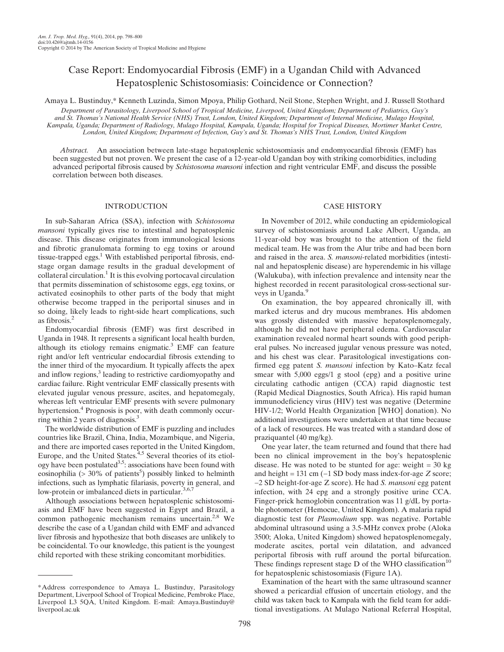# Case Report: Endomyocardial Fibrosis (EMF) in a Ugandan Child with Advanced Hepatosplenic Schistosomiasis: Coincidence or Connection?

Amaya L. Bustinduy,\* Kenneth Luzinda, Simon Mpoya, Philip Gothard, Neil Stone, Stephen Wright, and J. Russell Stothard Department of Parasitology, Liverpool School of Tropical Medicine, Liverpool, United Kingdom; Department of Pediatrics, Guy's and St. Thomas's National Health Service (NHS) Trust, London, United Kingdom; Department of Internal Medicine, Mulago Hospital, Kampala, Uganda; Department of Radiology, Mulago Hospital, Kampala, Uganda; Hospital for Tropical Diseases, Mortimer Market Centre, London, United Kingdom; Department of Infection, Guy's and St. Thomas's NHS Trust, London, United Kingdom

Abstract. An association between late-stage hepatosplenic schistosomiasis and endomyocardial fibrosis (EMF) has been suggested but not proven. We present the case of a 12-year-old Ugandan boy with striking comorbidities, including advanced periportal fibrosis caused by Schistosoma mansoni infection and right ventricular EMF, and discuss the possible correlation between both diseases.

#### INTRODUCTION

In sub-Saharan Africa (SSA), infection with Schistosoma mansoni typically gives rise to intestinal and hepatosplenic disease. This disease originates from immunological lesions and fibrotic granulomata forming to egg toxins or around tissue-trapped eggs. $1$  With established periportal fibrosis, endstage organ damage results in the gradual development of collateral circulation.<sup>1</sup> It is this evolving portocaval circulation that permits dissemination of schistosome eggs, egg toxins, or activated eosinophils to other parts of the body that might otherwise become trapped in the periportal sinuses and in so doing, likely leads to right-side heart complications, such as fibrosis.<sup>2</sup>

Endomyocardial fibrosis (EMF) was first described in Uganda in 1948. It represents a significant local health burden, although its etiology remains enigmatic.<sup>3</sup> EMF can feature right and/or left ventricular endocardial fibrosis extending to the inner third of the myocardium. It typically affects the apex and inflow regions,<sup>3</sup> leading to restrictive cardiomyopathy and cardiac failure. Right ventricular EMF classically presents with elevated jugular venous pressure, ascites, and hepatomegaly, whereas left ventricular EMF presents with severe pulmonary hypertension.<sup>4</sup> Prognosis is poor, with death commonly occurring within 2 years of diagnosis.3

The worldwide distribution of EMF is puzzling and includes countries like Brazil, China, India, Mozambique, and Nigeria, and there are imported cases reported in the United Kingdom, Europe, and the United States.<sup>4,5</sup> Several theories of its etiology have been postulated<sup>3,5</sup>: associations have been found with eosinophilia ( $>$  30% of patients<sup>5</sup>) possibly linked to helminth infections, such as lymphatic filariasis, poverty in general, and low-protein or imbalanced diets in particular.<sup>3,6,7</sup>

Although associations between hepatosplenic schistosomiasis and EMF have been suggested in Egypt and Brazil, a common pathogenic mechanism remains uncertain.<sup>2,8</sup> We describe the case of a Ugandan child with EMF and advanced liver fibrosis and hypothesize that both diseases are unlikely to be coincidental. To our knowledge, this patient is the youngest child reported with these striking concomitant morbidities.

### CASE HISTORY

In November of 2012, while conducting an epidemiological survey of schistosomiasis around Lake Albert, Uganda, an 11-year-old boy was brought to the attention of the field medical team. He was from the Alur tribe and had been born and raised in the area. S. mansoni-related morbidities (intestinal and hepatosplenic disease) are hyperendemic in his village (Walukuba), with infection prevalence and intensity near the highest recorded in recent parasitological cross-sectional surveys in Uganda.<sup>9</sup>

On examination, the boy appeared chronically ill, with marked icterus and dry mucous membranes. His abdomen was grossly distended with massive hepatosplenomegaly, although he did not have peripheral edema. Cardiovascular examination revealed normal heart sounds with good peripheral pulses. No increased jugular venous pressure was noted, and his chest was clear. Parasitological investigations confirmed egg patent S. mansoni infection by Kato–Katz fecal smear with 5,000 eggs/1 g stool (epg) and a positive urine circulating cathodic antigen (CCA) rapid diagnostic test (Rapid Medical Diagnostics, South Africa). His rapid human immunodeficiency virus (HIV) test was negative (Determine HIV-1/2; World Health Organization [WHO] donation). No additional investigations were undertaken at that time because of a lack of resources. He was treated with a standard dose of praziquantel (40 mg/kg).

One year later, the team returned and found that there had been no clinical improvement in the boy's hepatosplenic disease. He was noted to be stunted for age: weight  $= 30 \text{ kg}$ and height = 131 cm ( $-1$  SD body mass index-for-age Z score; −2 SD height-for-age Z score). He had S. mansoni egg patent infection, with 24 epg and a strongly positive urine CCA. Finger-prick hemoglobin concentration was 11 g/dL by portable photometer (Hemocue, United Kingdom). A malaria rapid diagnostic test for Plasmodium spp. was negative. Portable abdominal ultrasound using a 3.5-MHz convex probe (Aloka 3500; Aloka, United Kingdom) showed hepatosplenomegaly, moderate ascites, portal vein dilatation, and advanced periportal fibrosis with ruff around the portal bifurcation. These findings represent stage  $D$  of the WHO classification<sup>10</sup> for hepatosplenic schistosomiasis (Figure 1A).

Examination of the heart with the same ultrasound scanner showed a pericardial effusion of uncertain etiology, and the child was taken back to Kampala with the field team for additional investigations. At Mulago National Referral Hospital,

<sup>\*</sup>Address correspondence to Amaya L. Bustinduy, Parasitology Department, Liverpool School of Tropical Medicine, Pembroke Place, Liverpool L3 5QA, United Kingdom. E-mail: Amaya.Bustinduy@ liverpool.ac.uk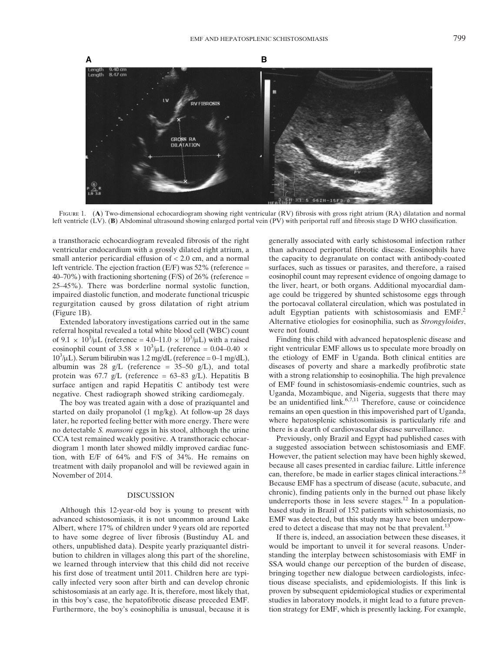

FIGURE 1. (A) Two-dimensional echocardiogram showing right ventricular (RV) fibrosis with gross right atrium (RA) dilatation and normal left ventricle (LV). (B) Abdominal ultrasound showing enlarged portal vein (PV) with periportal ruff and fibrosis stage D WHO classification.

a transthoracic echocardiogram revealed fibrosis of the right ventricular endocardium with a grossly dilated right atrium, a small anterior pericardial effusion of < 2.0 cm, and a normal left ventricle. The ejection fraction (E/F) was 52% (reference =  $40-70\%$ ) with fractioning shortening (F/S) of 26% (reference = 25–45%). There was borderline normal systolic function, impaired diastolic function, and moderate functional tricuspic regurgitation caused by gross dilatation of right atrium (Figure 1B).

Extended laboratory investigations carried out in the same referral hospital revealed a total white blood cell (WBC) count of  $9.1 \times 10^3/\mu L$  (reference = 4.0–11.0  $\times 10^3/\mu L$ ) with a raised eosinophil count of  $3.58 \times 10^3/\mu$ L (reference = 0.04–0.40  $\times$  $10^3 \mu L$ ). Serum bilirubin was 1.2 mg/dL (reference = 0–1 mg/dL), albumin was 28 g/L (reference =  $35-50$  g/L), and total protein was 67.7 g/L (reference =  $63-83$  g/L). Hepatitis B surface antigen and rapid Hepatitis C antibody test were negative. Chest radiograph showed striking cardiomegaly.

The boy was treated again with a dose of praziquantel and started on daily propanolol (1 mg/kg). At follow-up 28 days later, he reported feeling better with more energy. There were no detectable S. mansoni eggs in his stool, although the urine CCA test remained weakly positive. A transthoracic echocardiogram 1 month later showed mildly improved cardiac function, with E/F of 64% and F/S of 34%. He remains on treatment with daily propanolol and will be reviewed again in November of 2014.

#### **DISCUSSION**

Although this 12-year-old boy is young to present with advanced schistosomiasis, it is not uncommon around Lake Albert, where 17% of children under 9 years old are reported to have some degree of liver fibrosis (Bustinduy AL and others, unpublished data). Despite yearly praziquantel distribution to children in villages along this part of the shoreline, we learned through interview that this child did not receive his first dose of treatment until 2011. Children here are typically infected very soon after birth and can develop chronic schistosomiasis at an early age. It is, therefore, most likely that, in this boy's case, the hepatofibrotic disease preceded EMF. Furthermore, the boy's eosinophilia is unusual, because it is generally associated with early schistosomal infection rather than advanced periportal fibrotic disease. Eosinophils have the capacity to degranulate on contact with antibody-coated surfaces, such as tissues or parasites, and therefore, a raised eosinophil count may represent evidence of ongoing damage to the liver, heart, or both organs. Additional myocardial damage could be triggered by shunted schistosome eggs through the portocaval collateral circulation, which was postulated in adult Egyptian patients with schistosomiasis and EMF.<sup>2</sup> Alternative etiologies for eosinophilia, such as Strongyloides, were not found.

Finding this child with advanced hepatosplenic disease and right ventricular EMF allows us to speculate more broadly on the etiology of EMF in Uganda. Both clinical entities are diseases of poverty and share a markedly profibrotic state with a strong relationship to eosinophilia. The high prevalence of EMF found in schistosomiasis-endemic countries, such as Uganda, Mozambique, and Nigeria, suggests that there may be an unidentified link.<sup>6,7,11</sup> Therefore, cause or coincidence remains an open question in this impoverished part of Uganda, where hepatosplenic schistosomiasis is particularly rife and there is a dearth of cardiovascular disease surveillance.

Previously, only Brazil and Egypt had published cases with a suggested association between schistosomiasis and EMF. However, the patient selection may have been highly skewed, because all cases presented in cardiac failure. Little inference can, therefore, be made in earlier stages clinical interactions.<sup>2,8</sup> Because EMF has a spectrum of disease (acute, subacute, and chronic), finding patients only in the burned out phase likely underreports those in less severe stages.<sup>12</sup> In a populationbased study in Brazil of 152 patients with schistosomiasis, no EMF was detected, but this study may have been underpowered to detect a disease that may not be that prevalent.<sup>13</sup>

If there is, indeed, an association between these diseases, it would be important to unveil it for several reasons. Understanding the interplay between schistosomiasis with EMF in SSA would change our perception of the burden of disease, bringing together new dialogue between cardiologists, infectious disease specialists, and epidemiologists. If this link is proven by subsequent epidemiological studies or experimental studies in laboratory models, it might lead to a future prevention strategy for EMF, which is presently lacking. For example,